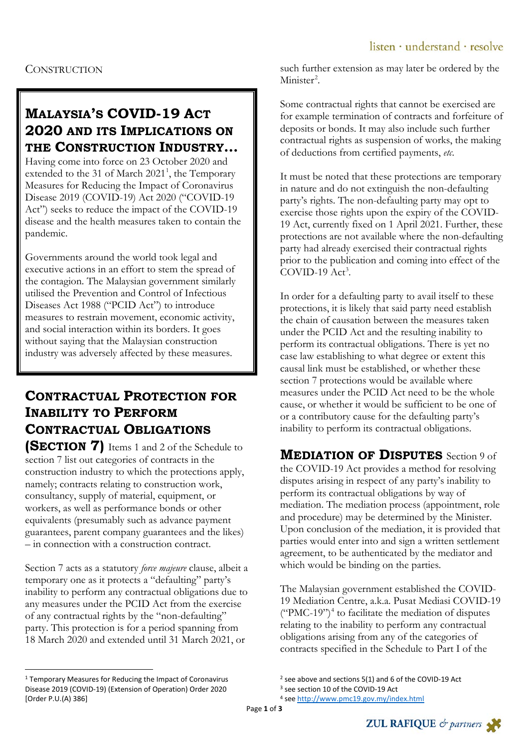## **MALAYSIA'S COVID-19 ACT 2020 AND ITS IMPLICATIONS ON THE CONSTRUCTION INDUSTRY…**

Having come into force on 23 October 2020 and extended to the 3[1](#page-0-0) of March 2021<sup>1</sup>, the Temporary Measures for Reducing the Impact of Coronavirus Disease 2019 (COVID-19) Act 2020 ("COVID-19 Act") seeks to reduce the impact of the COVID-19 disease and the health measures taken to contain the pandemic.

Governments around the world took legal and executive actions in an effort to stem the spread of the contagion. The Malaysian government similarly utilised the Prevention and Control of Infectious Diseases Act 1988 ("PCID Act") to introduce measures to restrain movement, economic activity, and social interaction within its borders. It goes without saying that the Malaysian construction industry was adversely affected by these measures.

# **CONTRACTUAL PROTECTION FOR INABILITY TO PERFORM CONTRACTUAL OBLIGATIONS**

**(SECTION 7)** Items 1 and 2 of the Schedule to section 7 list out categories of contracts in the construction industry to which the protections apply, namely; contracts relating to construction work, consultancy, supply of material, equipment, or workers, as well as performance bonds or other equivalents (presumably such as advance payment guarantees, parent company guarantees and the likes) – in connection with a construction contract.

Section 7 acts as a statutory *force majeure* clause, albeit a temporary one as it protects a "defaulting" party's inability to perform any contractual obligations due to any measures under the PCID Act from the exercise of any contractual rights by the "non-defaulting" party. This protection is for a period spanning from 18 March 2020 and extended until 31 March 2021, or

<span id="page-0-2"></span><span id="page-0-1"></span><span id="page-0-0"></span> 1 Temporary Measures for Reducing the Impact of Coronavirus Disease 2019 (COVID-19) (Extension of Operation) Order 2020 [Order P.U.(A) 386]

such further extension as may later be ordered by the Minister<sup>[2](#page-0-0)</sup>.

Some contractual rights that cannot be exercised are for example termination of contracts and forfeiture of deposits or bonds. It may also include such further contractual rights as suspension of works, the making of deductions from certified payments, *etc*.

It must be noted that these protections are temporary in nature and do not extinguish the non-defaulting party's rights. The non-defaulting party may opt to exercise those rights upon the expiry of the COVID-19 Act, currently fixed on 1 April 2021. Further, these protections are not available where the non-defaulting party had already exercised their contractual rights prior to the publication and coming into effect of the  $COVID-19$  Act<sup>[3](#page-0-1)</sup>.

In order for a defaulting party to avail itself to these protections, it is likely that said party need establish the chain of causation between the measures taken under the PCID Act and the resulting inability to perform its contractual obligations. There is yet no case law establishing to what degree or extent this causal link must be established, or whether these section 7 protections would be available where measures under the PCID Act need to be the whole cause, or whether it would be sufficient to be one of or a contributory cause for the defaulting party's inability to perform its contractual obligations.

### **MEDIATION OF DISPUTES** Section 9 of the COVID-19 Act provides a method for resolving disputes arising in respect of any party's inability to perform its contractual obligations by way of mediation. The mediation process (appointment, role and procedure) may be determined by the Minister. Upon conclusion of the mediation, it is provided that parties would enter into and sign a written settlement agreement, to be authenticated by the mediator and which would be binding on the parties.

The Malaysian government established the COVID-19 Mediation Centre, a.k.a. Pusat Mediasi COVID-19  $("PMC-19")<sup>4</sup>$  $("PMC-19")<sup>4</sup>$  $("PMC-19")<sup>4</sup>$  to facilitate the mediation of disputes relating to the inability to perform any contractual obligations arising from any of the categories of contracts specified in the Schedule to Part I of the



<sup>&</sup>lt;sup>2</sup> see above and sections 5(1) and 6 of the COVID-19 Act  $3$  see section 10 of the COVID-19 Act

<sup>4</sup> see<http://www.pmc19.gov.my/index.html>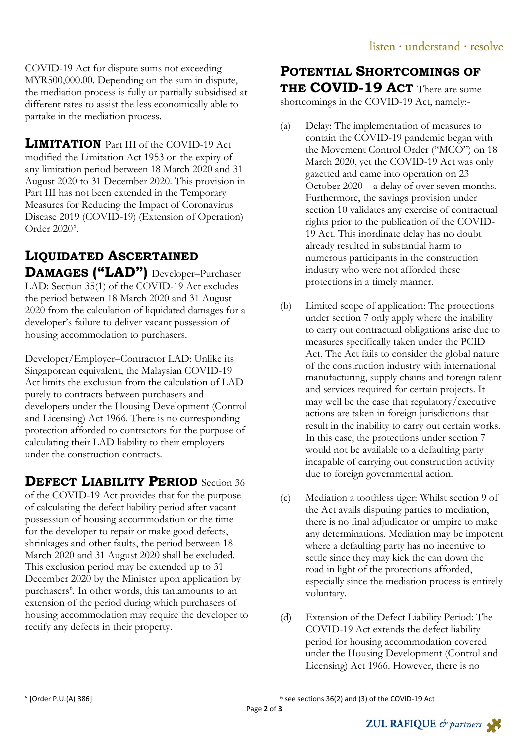COVID-19 Act for dispute sums not exceeding MYR500,000.00. Depending on the sum in dispute, the mediation process is fully or partially subsidised at different rates to assist the less economically able to partake in the mediation process.

**LIMITATION** Part III of the COVID-19 Act. modified the Limitation Act 1953 on the expiry of any limitation period between 18 March 2020 and 31 August 2020 to 31 December 2020. This provision in Part III has not been extended in the Temporary Measures for Reducing the Impact of Coronavirus Disease 2019 (COVID-19) (Extension of Operation) Order 2020<sup>[5](#page-1-0)</sup>.

# **LIQUIDATED ASCERTAINED**  DAMAGES ("LAD") Developer-Purchaser

LAD: Section 35(1) of the COVID-19 Act excludes the period between 18 March 2020 and 31 August 2020 from the calculation of liquidated damages for a developer's failure to deliver vacant possession of housing accommodation to purchasers.

Developer/Employer–Contractor LAD: Unlike its Singaporean equivalent, the Malaysian COVID-19 Act limits the exclusion from the calculation of LAD purely to contracts between purchasers and developers under the Housing Development (Control and Licensing) Act 1966. There is no corresponding protection afforded to contractors for the purpose of calculating their LAD liability to their employers under the construction contracts.

**DEFECT LIABILITY PERIOD** Section 36 of the COVID-19 Act provides that for the purpose of calculating the defect liability period after vacant possession of housing accommodation or the time for the developer to repair or make good defects, shrinkages and other faults, the period between 18 March 2020 and 31 August 2020 shall be excluded. This exclusion period may be extended up to 31 December 2020 by the Minister upon application by purchasers<sup>[6](#page-1-0)</sup>. In other words, this tantamounts to an extension of the period during which purchasers of housing accommodation may require the developer to rectify any defects in their property.

### **POTENTIAL SHORTCOMINGS OF THE COVID-19 ACT** There are some

shortcomings in the COVID-19 Act, namely:-

- (a) Delay: The implementation of measures to contain the COVID-19 pandemic began with the Movement Control Order ("MCO") on 18 March 2020, yet the COVID-19 Act was only gazetted and came into operation on 23 October 2020 – a delay of over seven months. Furthermore, the savings provision under section 10 validates any exercise of contractual rights prior to the publication of the COVID-19 Act. This inordinate delay has no doubt already resulted in substantial harm to numerous participants in the construction industry who were not afforded these protections in a timely manner.
- (b) Limited scope of application: The protections under section 7 only apply where the inability to carry out contractual obligations arise due to measures specifically taken under the PCID Act. The Act fails to consider the global nature of the construction industry with international manufacturing, supply chains and foreign talent and services required for certain projects. It may well be the case that regulatory/executive actions are taken in foreign jurisdictions that result in the inability to carry out certain works. In this case, the protections under section 7 would not be available to a defaulting party incapable of carrying out construction activity due to foreign governmental action.
- (c) Mediation a toothless tiger: Whilst section 9 of the Act avails disputing parties to mediation, there is no final adjudicator or umpire to make any determinations. Mediation may be impotent where a defaulting party has no incentive to settle since they may kick the can down the road in light of the protections afforded, especially since the mediation process is entirely voluntary.
- (d) Extension of the Defect Liability Period: The COVID-19 Act extends the defect liability period for housing accommodation covered under the Housing Development (Control and Licensing) Act 1966. However, there is no

<sup>6</sup> see sections 36(2) and (3) of the COVID-19 Act



<span id="page-1-0"></span> <sup>5</sup> [Order P.U.(A) 386]